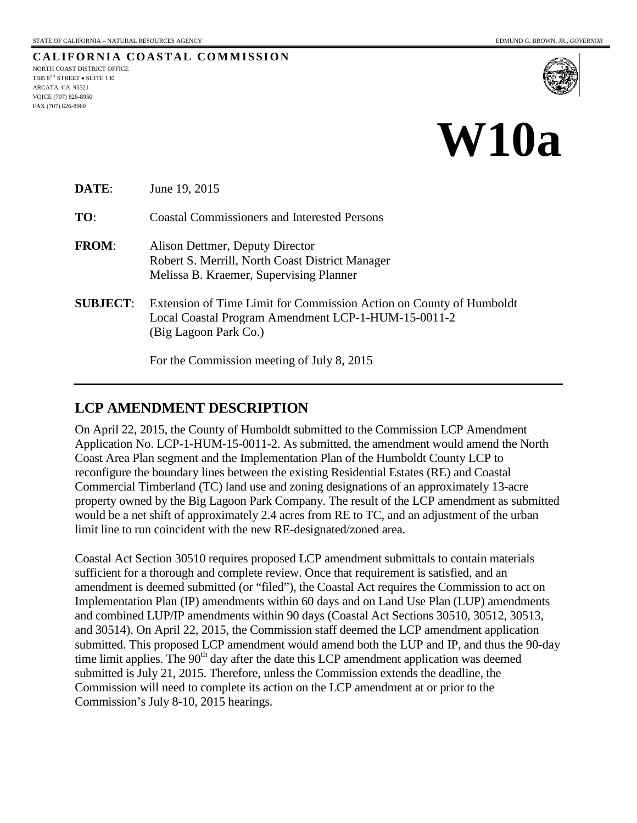**CALIFORNIA COASTAL COMMISSION** NORTH COAST DISTRICT OFFICE 1385 8TH STREET • SUITE 130 ARCATA, CA 95521 VOICE (707) 826-8950 FAX (707) 826-8960



## **W10a**

| DATE:           | June 19, 2015                                                                                                                                       |
|-----------------|-----------------------------------------------------------------------------------------------------------------------------------------------------|
| TO:             | <b>Coastal Commissioners and Interested Persons</b>                                                                                                 |
| <b>FROM:</b>    | Alison Dettmer, Deputy Director<br>Robert S. Merrill, North Coast District Manager<br>Melissa B. Kraemer, Supervising Planner                       |
| <b>SUBJECT:</b> | Extension of Time Limit for Commission Action on County of Humboldt<br>Local Coastal Program Amendment LCP-1-HUM-15-0011-2<br>(Big Lagoon Park Co.) |
|                 | For the Commission meeting of July 8, 2015                                                                                                          |

## **LCP AMENDMENT DESCRIPTION**

On April 22, 2015, the County of Humboldt submitted to the Commission LCP Amendment Application No. LCP-1-HUM-15-0011-2. As submitted, the amendment would amend the North Coast Area Plan segment and the Implementation Plan of the Humboldt County LCP to reconfigure the boundary lines between the existing Residential Estates (RE) and Coastal Commercial Timberland (TC) land use and zoning designations of an approximately 13-acre property owned by the Big Lagoon Park Company. The result of the LCP amendment as submitted would be a net shift of approximately 2.4 acres from RE to TC, and an adjustment of the urban limit line to run coincident with the new RE-designated/zoned area.

Coastal Act Section 30510 requires proposed LCP amendment submittals to contain materials sufficient for a thorough and complete review. Once that requirement is satisfied, and an amendment is deemed submitted (or "filed"), the Coastal Act requires the Commission to act on Implementation Plan (IP) amendments within 60 days and on Land Use Plan (LUP) amendments and combined LUP/IP amendments within 90 days (Coastal Act Sections 30510, 30512, 30513, and 30514). On April 22, 2015, the Commission staff deemed the LCP amendment application submitted. This proposed LCP amendment would amend both the LUP and IP, and thus the 90-day time limit applies. The  $90<sup>th</sup>$  day after the date this LCP amendment application was deemed submitted is July 21, 2015. Therefore, unless the Commission extends the deadline, the Commission will need to complete its action on the LCP amendment at or prior to the Commission's July 8-10, 2015 hearings.